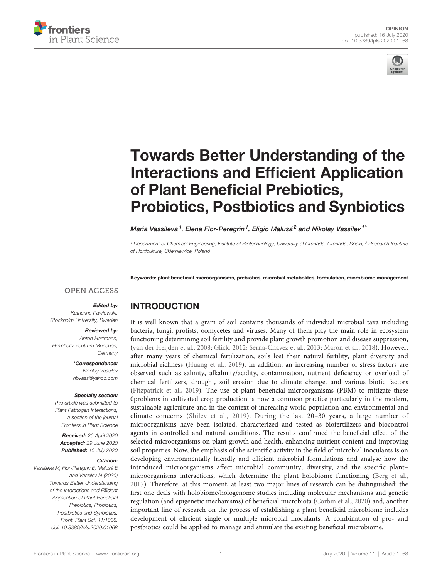



# [Towards Better Understanding of the](https://www.frontiersin.org/articles/10.3389/fpls.2020.01068/full) [Interactions and Ef](https://www.frontiersin.org/articles/10.3389/fpls.2020.01068/full)ficient Application of Plant Benefi[cial Prebiotics,](https://www.frontiersin.org/articles/10.3389/fpls.2020.01068/full) [Probiotics, Postbiotics and Synbiotics](https://www.frontiersin.org/articles/10.3389/fpls.2020.01068/full)

[Maria Vassileva](https://loop.frontiersin.org/people/921102)<sup>1</sup>, Elena Flor-Peregrin<sup>1</sup>, Eligio Malusá<sup>2</sup> and [Nikolay Vassilev](https://loop.frontiersin.org/people/770382)<sup>1\*</sup>

<sup>1</sup> Department of Chemical Engineering, Institute of Biotechnology, University of Granada, Granada, Spain, <sup>2</sup> Research Institute of Horticulture, Skierniewice, Poland

Keywords: plant beneficial microorganisms, prebiotics, microbial metabolites, formulation, microbiome management

#### **OPEN ACCESS**

#### Edited by:

Katharina Pawlowski, Stockholm University, Sweden

#### Reviewed by:

Anton Hartmann, Helmholtz Zentrum München, **Germany** 

> \*Correspondence: Nikolay Vassilev [nbvass@yahoo.com](mailto:nbvass@yahoo.com)

#### Specialty section:

This article was submitted to Plant Pathogen Interactions, a section of the journal Frontiers in Plant Science

Received: 20 April 2020 Accepted: 29 June 2020 Published: 16 July 2020

#### Citation:

Vassileva M, Flor-Peregrin E, Malusá E and Vassilev N (2020) Towards Better Understanding of the Interactions and Efficient Application of Plant Beneficial Prebiotics, Probiotics, Postbiotics and Synbiotics. Front. Plant Sci. 11:1068. [doi: 10.3389/fpls.2020.01068](https://doi.org/10.3389/fpls.2020.01068)

# INTRODUCTION

It is well known that a gram of soil contains thousands of individual microbial taxa including bacteria, fungi, protists, oomycetes and viruses. Many of them play the main role in ecosystem functioning determining soil fertility and provide plant growth promotion and disease suppression, [\(van der Heijden et al., 2008;](#page-4-0) [Glick, 2012](#page-3-0); [Serna-Chavez et al., 2013;](#page-4-0) [Maron et al., 2018\)](#page-3-0). However, after many years of chemical fertilization, soils lost their natural fertility, plant diversity and microbial richness [\(Huang et al., 2019](#page-3-0)). In addition, an increasing number of stress factors are observed such as salinity, alkalinity/acidity, contamination, nutrient deficiency or overload of chemical fertilizers, drought, soil erosion due to climate change, and various biotic factors [\(Fitzpatrick et al., 2019\)](#page-3-0). The use of plant beneficial microorganisms (PBM) to mitigate these 0problems in cultivated crop production is now a common practice particularly in the modern, sustainable agriculture and in the context of increasing world population and environmental and climate concerns ([Shilev et al., 2019](#page-4-0)). During the last 20–30 years, a large number of microorganisms have been isolated, characterized and tested as biofertilizers and biocontrol agents in controlled and natural conditions. The results confirmed the beneficial effect of the selected microorganisms on plant growth and health, enhancing nutrient content and improving soil properties. Now, the emphasis of the scientific activity in the field of microbial inoculants is on developing environmentally friendly and efficient microbial formulations and analyse how the introduced microorganisms affect microbial community, diversity, and the specific plant– microorganisms interactions, which determine the plant holobiome functioning [\(Berg et al.,](#page-3-0) [2017\)](#page-3-0). Therefore, at this moment, at least two major lines of research can be distinguished: the first one deals with holobiome/hologenome studies including molecular mechanisms and genetic regulation (and epigenetic mechanisms) of beneficial microbiota ([Corbin et al., 2020\)](#page-3-0) and, another important line of research on the process of establishing a plant beneficial microbiome includes development of efficient single or multiple microbial inoculants. A combination of pro- and postbiotics could be applied to manage and stimulate the existing beneficial microbiome.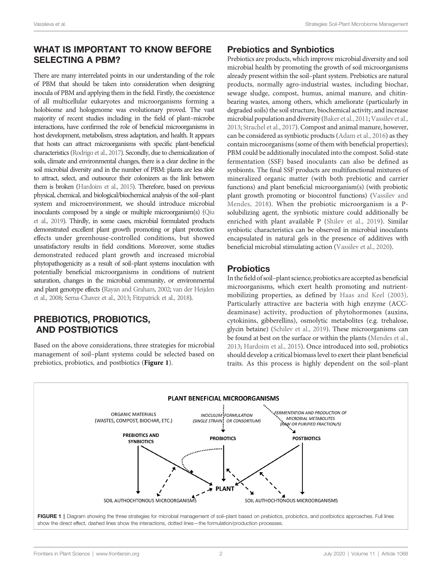# WHAT IS IMPORTANT TO KNOW BEFORE SELECTING A PBM?

There are many interrelated points in our understanding of the role of PBM that should be taken into consideration when designing inocula of PBM and applying them in the field. Firstly, the coexistence of all multicellular eukaryotes and microorganisms forming a holobiome and hologenome was evolutionary proved. The vast majority of recent studies including in the field of plant–microbe interactions, have confirmed the role of beneficial microorganisms in host development, metabolism, stress adaptation, and health. It appears that hosts can attract microorganisms with specific plant-beneficial characteristics [\(Rodrigo et al., 2017\)](#page-3-0). Secondly, due to chemicalization of soils, climate and environmental changes, there is a clear decline in the soil microbial diversity and in the number of PBM: plants are less able to attract, select, and outsource their colonizers as the link between them is broken [\(Hardoim et al., 2015\)](#page-3-0). Therefore, based on previous physical, chemical, and biological/biochemical analysis of the soil–plant system and microenvironment, we should introduce microbial inoculants composed by a single or multiple microorganism(s) ([Qiu](#page-3-0) [et al., 2019\)](#page-3-0). Thirdly, in some cases, microbial formulated products demonstrated excellent plant growth promoting or plant protection effects under greenhouse-controlled conditions, but showed unsatisfactory results in field conditions. Moreover, some studies demonstrated reduced plant growth and increased microbial phytopathogenicity as a result of soil–plant systems inoculation with potentially beneficial microorganisms in conditions of nutrient saturation, changes in the microbial community, or environmental and plant genotype effects [\(Rayan and Graham, 2002;](#page-3-0) [van der Heijden](#page-4-0) [et al., 2008;](#page-4-0) [Serna-Chavez et al., 2013](#page-4-0); [Fitzpatrick et al., 2018](#page-3-0)).

# PREBIOTICS, PROBIOTICS, AND POSTBIOTICS

Based on the above considerations, three strategies for microbial management of soil–plant systems could be selected based on prebiotics, probiotics, and postbiotics (Figure 1).

#### Prebiotics and Synbiotics

Prebiotics are products, which improve microbial diversity and soil microbial health by promoting the growth of soil microorganisms already present within the soil–plant system. Prebiotics are natural products, normally agro-industrial wastes, including biochar, sewage sludge, compost, humus, animal manure, and chitinbearing wastes, among others, which ameliorate (particularly in degraded soils) the soil structure, biochemical activity, and increase microbial population and diversity [\(Baker et al., 2011](#page-3-0); [Vassilev et al.,](#page-4-0) [2013;](#page-4-0) [Strachel et al., 2017\)](#page-4-0). Compost and animal manure, however, can be considered as synbiotic products [\(Adam et al., 2016](#page-3-0)) as they contain microorganisms (some of them with beneficial properties); PBM could be additionally inoculated into the compost. Solid-state fermentation (SSF) based inoculants can also be defined as synbionts. The final SSF products are multifunctional mixtures of mineralized organic matter (with both prebiotic and carrier functions) and plant beneficial microorganism(s) (with probiotic plant growth promoting or biocontrol functions) ([Vassilev and](#page-4-0) [Mendes, 2018](#page-4-0)). When the probiotic microorganism is a Psolubilizing agent, the synbiotic mixture could additionally be enriched with plant available P [\(Shilev et al., 2019\)](#page-4-0). Similar synbiotic characteristics can be observed in microbial inoculants encapsulated in natural gels in the presence of additives with beneficial microbial stimulating action [\(Vassilev et al., 2020\)](#page-4-0).

# **Probiotics**

In the field of soil–plant science, probiotics are accepted as beneficial microorganisms, which exert health promoting and nutrientmobilizing properties, as defined by [Haas and Keel \(2003\).](#page-3-0) Particularly attractive are bacteria with high enzyme (ACCdeaminase) activity, production of phytohormones (auxins, cytokinins, gibberellins), osmolytic metabolites (e.g. trehalose, glycin betaine) [\(Schilev et al., 2019](#page-4-0)). These microorganisms can be found at best on the surface or within the plants [\(Mendes et al.,](#page-3-0) [2013;](#page-3-0) [Hardoim et al., 2015](#page-3-0)). Once introduced into soil, probiotics should develop a critical biomass level to exert their plant beneficial traits. As this process is highly dependent on the soil–plant



FIGURE 1 | Diagram showing the three strategies for microbial management of soil-plant based on prebiotics, probiotics, and postbiotics approaches. Full lines show the direct effect, dashed lines show the interactions, dotted lines—the formulation/production processes.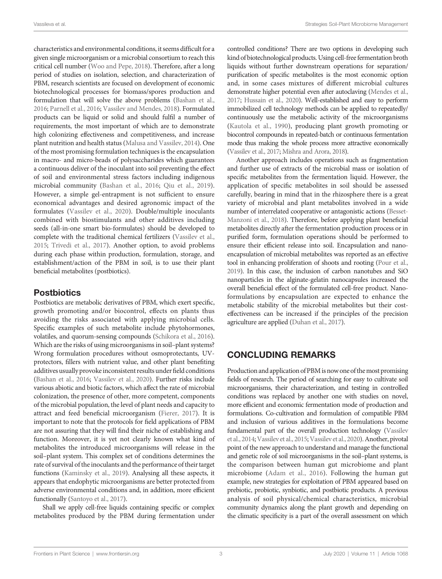characteristics and environmental conditions, it seems difficult for a given single microorganism or a microbial consortium to reach this critical cell number [\(Woo and Pepe, 2018](#page-4-0)). Therefore, after a long period of studies on isolation, selection, and characterization of PBM, research scientists are focused on development of economic biotechnological processes for biomass/spores production and formulation that will solve the above problems ([Bashan et al.,](#page-3-0) [2016](#page-3-0); [Parnell et al., 2016;](#page-3-0) [Vassilev and Mendes, 2018](#page-4-0)). Formulated products can be liquid or solid and should fulfil a number of requirements, the most important of which are to demonstrate high colonizing effectiveness and competitiveness, and increase plant nutrition and health status [\(Malusa and Vassilev, 2014](#page-3-0)). One of the most promising formulation techniques is the encapsulation in macro- and micro-beads of polysaccharides which guarantees a continuous deliver of the inoculant into soil preventing the effect of soil and environmental stress factors including indigenous microbial community ([Bashan et al., 2016](#page-3-0); [Qiu et al., 2019\)](#page-3-0). However, a simple gel-entrapment is not sufficient to ensure economical advantages and desired agronomic impact of the formulates [\(Vassilev et al., 2020](#page-4-0)). Double/multiple inoculants combined with biostimulants and other additives including seeds (all-in-one smart bio-formulates) should be developed to complete with the traditional chemical fertilizers ([Vassilev et al.,](#page-4-0) [2015](#page-4-0); [Trivedi et al., 2017](#page-4-0)). Another option, to avoid problems during each phase within production, formulation, storage, and establishment/action of the PBM in soil, is to use their plant beneficial metabolites (postbiotics).

#### **Postbiotics**

Postbiotics are metabolic derivatives of PBM, which exert specific, growth promoting and/or biocontrol, effects on plants thus avoiding the risks associated with applying microbial cells. Specific examples of such metabolite include phytohormones, volatiles, and quorum-sensing compounds [\(Schikora et al., 2016\)](#page-3-0). Which are the risks of using microorganisms in soil–plant systems? Wrong formulation procedures without osmoprotectants, UVprotectors, fillers with nutrient value, and other plant benefiting additives usually provoke inconsistent results under field conditions ([Bashan et al., 2016;](#page-3-0) [Vassilev et al., 2020](#page-4-0)). Further risks include various abiotic and biotic factors, which affect the rate of microbial colonization, the presence of other, more competent, components of the microbial population, the level of plant needs and capacity to attract and feed beneficial microorganism ([Fierer, 2017](#page-3-0)). It is important to note that the protocols for field applications of PBM are not assuring that they will find their niche of establishing and function. Moreover, it is yet not clearly known what kind of metabolites the introduced microorganisms will release in the soil–plant system. This complex set of conditions determines the rate of survival of the inoculants and the performance of their target functions ([Kaminsky et al., 2019](#page-3-0)). Analysing all these aspects, it appears that endophytic microorganisms are better protected from adverse environmental conditions and, in addition, more efficient functionally ([Santoyo et al., 2017](#page-3-0)).

Shall we apply cell-free liquids containing specific or complex metabolites produced by the PBM during fermentation under controlled conditions? There are two options in developing such kind of biotechnological products. Using cell-freefermentation broth liquids without further downstream operations for separation/ purification of specific metabolites is the most economic option and, in some cases mixtures of different microbial cultures demonstrate higher potential even after autoclaving [\(Mendes et al.,](#page-3-0) [2017;](#page-3-0) [Hussain et al., 2020](#page-3-0)). Well-established and easy to perform immobilized cell technology methods can be applied to repeatedly/ continuously use the metabolic activity of the microorganisms [\(Kautola et al., 1990](#page-3-0)), producing plant growth promoting or biocontrol compounds in repeated-batch or continuous fermentation mode thus making the whole process more attractive economically [\(Vassilev et al., 2017](#page-4-0); [Mishra and Arora, 2018\)](#page-3-0).

Another approach includes operations such as fragmentation and further use of extracts of the microbial mass or isolation of specific metabolites from the fermentation liquid. However, the application of specific metabolites in soil should be assessed carefully, bearing in mind that in the rhizosphere there is a great variety of microbial and plant metabolites involved in a wide number of interrelated cooperative or antagonistic actions [\(Besset-](#page-3-0)[Manzoni et al., 2018](#page-3-0)). Therefore, before applying plant beneficial metabolites directly after the fermentation production process or in purified form, formulation operations should be performed to ensure their efficient release into soil. Encapsulation and nanoencapsulation of microbial metabolites was reported as an effective tool in enhancing proliferation of shoots and rooting [\(Pour et al.,](#page-3-0) [2019\)](#page-3-0). In this case, the inclusion of carbon nanotubes and SiO nanoparticles in the alginate-gelatin nanocapsules increased the overall beneficial effect of the formulated cell-free product. Nanoformulations by encapsulation are expected to enhance the metabolic stability of the microbial metabolites but their costeffectiveness can be increased if the principles of the precision agriculture are applied [\(Duhan et al., 2017\)](#page-3-0).

# CONCLUDING REMARKS

Production and application of PBM is now one of the most promising fields of research. The period of searching for easy to cultivate soil microorganisms, their characterization, and testing in controlled conditions was replaced by another one with studies on novel, more efficient and economic fermentation mode of production and formulations. Co-cultivation and formulation of compatible PBM and inclusion of various additives in the formulations become fundamental part of the overall production technology [\(Vassilev](#page-4-0) et al., 2014; Vassilev et al., 2015; Vassilev et al., 2020). Another, pivotal point of the new approach to understand and manage the functional and genetic role of soil microorganisms in the soil–plant systems, is the comparison between human gut microbiome and plant microbiome [\(Adam et al., 2016](#page-3-0)). Following the human gut example, new strategies for exploitation of PBM appeared based on prebiotic, probiotic, synbiotic, and postbiotic products. A previous analysis of soil physical/chemical characteristics, microbial community dynamics along the plant growth and depending on the climatic specificity is a part of the overall assessment on which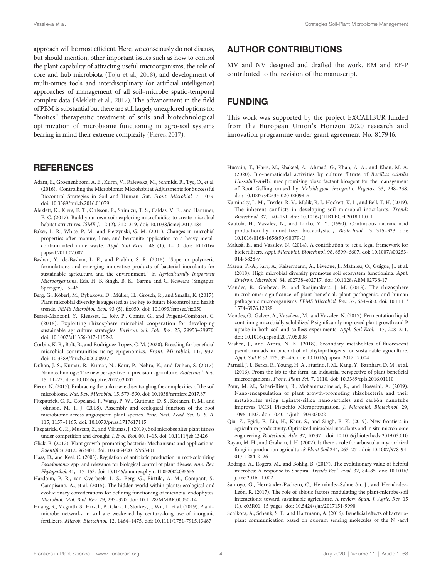<span id="page-3-0"></span>approach will be most efficient. Here, we consciously do not discuss, but should mention, other important issues such as how to control the plant capability of attracting useful microorganisms, the role of core and hub microbiota ([Toju et al., 2018](#page-4-0)), and development of multi-omics tools and interdisciplinary (or artificial intelligence) approaches of management of all soil–microbe spatio-temporal complex data (Aleklett et al., 2017). The advancement in the field of PBM is substantial but there are still largely unexplored options for "biotics" therapeutic treatment of soils and biotechnological optimization of microbiome functioning in agro-soil systems bearing in mind their extreme complexity (Fierer, 2017).

#### **REFERENCES**

- Adam, E., Groenenboom, A. E., Kurm, V., Rajewska, M., Schmidt, R., Tyc, O., et al. (2016). Controlling the Microbiome: Microhabitat Adjustments for Successful Biocontrol Strategies in Soil and Human Gut. Front. Microbiol. 7, 1079. doi: [10.3389/fmicb.2016.01079](https://doi.org/10.3389/fmicb.2016.01079)
- Aleklett, K., Kiers, E. T., Ohlsson, P., Shimizu, T. S., Caldas, V. E., and Hammer, E. C. (2017). Build your own soil: exploring microfluidics to create microbial habitat structures. ISME J. 12 (2), 312–319. doi: [10.1038/ismej.2017.184](https://doi.org/10.1038/ismej.2017.184)
- Baker, L. R., White, P. M., and Pierzynski, G. M. (2011). Changes in microbial properties after manure, lime, and bentonite application to a heavy metalcontaminated mine waste. Appl. Soil Ecol. 48 (1), 1–10. doi: [10.1016/](https://doi.org/10.1016/j.apsoil.2011.02.007) [j.apsoil.2011.02.007](https://doi.org/10.1016/j.apsoil.2011.02.007)
- Bashan, Y., de-Bashan, L. E., and Prabhu, S. R. (2016). "Superior polymeric formulations and emerging innovative products of bacterial inoculants for sustainable agricultura and the environment," in Agriculturally Important Microorganisms. Eds. H. B. Singh, B. K. Sarma and C. Keswani (Singapur: Springer), 15–46.
- Berg, G., Köberl, M., Rybakova, D., Müller, H., Grosch, R., and Smalla, K. (2017). Plant microbial diversity is suggested as the key to future biocontrol and health trends. FEMS Microbiol. Ecol. 93 (5), fix050. doi: [10.1093/femsec/](https://doi.org/10.1093/femsec/fix050)fix050
- Besset-Manzoni, Y., Rieusset, L., Joly, P., Comte, G., and Prigent-Combaret, C. (2018). Exploiting rhizosphere microbial cooperation for developing sustainable agriculture strategies. Environ. Sci. Poll. Res. 25, 29953–29970. doi: [10.1007/s11356-017-1152-2](https://doi.org/10.1007/s11356-017-1152-2)
- Corbin, K. R., Bolt, B., and Rodriguez-Lopez, C. M. (2020). Breeding for beneficial microbial communities using epigenomics. Front. Microbiol. 11:, 937. doi: [10.3389/fmicb.2020.00937](https://doi.org/10.3389/fmicb.2020.00937)
- Duhan, J. S., Kumar, R., Kumar, N., Kaur, P., Nehra, K., and Duhan, S. (2017). Nanotechnology: The new perspective in precision agriculture. Biotechnol. Rep. 15, 11–23. doi: [10.1016/j.btre.2017.03.002](https://doi.org/10.1016/j.btre.2017.03.002)
- Fierer, N. (2017). Embracing the unknown: disentangling the complexities of the soil microbiome. Nat. Rev. Microbiol. 15, 579–590. doi: [10.1038/nrmicro.2017.87](https://doi.org/10.1038/nrmicro.2017.87)
- Fitzpatrick, C. R., Copeland, J., Wang, P. W., Guttman, D. S., Kotanen, P. M., and Johnson, M. T. J. (2018). Assembly and ecological function of the root microbiome across angiosperm plant species. Proc. Natl. Acad. Sci. U. S. A. 115, 1157–1165. doi: [10.1073/pnas.1717617115](https://doi.org/10.1073/pnas.1717617115)
- Fitzpatrick, C. R., Mustafa, Z., and Viliunas, J. (2019). Soil microbes alter plant fitness under competition and drought. J. Evol. Biol. 00, 1–13. doi: [10.1111/jeb.13426](https://doi.org/10.1111/jeb.13426)
- Glick, B. (2012). Plant growth-promoting bacteria: Mechanisms and applications. Scientifica 2012, 963401. doi: [10.6064/2012/963401](https://doi.org/10.6064/2012/963401)
- Haas, D., and Keel, C. (2003). Regulation of antibiotic production in root-colonizing Pseudomonas spp. and relevance for biological control of plant disease. Ann. Rev. Phytopathol. 41, 117–153. doi: [10.1146/annurev.phyto.41.052002.095656](https://doi.org/10.1146/annurev.phyto.41.052002.095656)
- Hardoim, P. R., van Overbeek, L. S., Berg, G., Pirttilä, A. M., Compant, S., Campisano, A., et al. (2015). The hidden world within plants: ecological and evolucionary considerations for defining functioning of microbial endophytes. Microbiol. Mol. Biol. Rev. 79, 293–320. doi: [10.1128/MMBR.00050-14](https://doi.org/10.1128/MMBR.00050-14)
- Huang, R., Mcgrath, S., Hirsch, P., Clark, I., Storkey, J., Wu, L., et al. (2019). Plant– microbe networks in soil are weakened by century-long use of inorganic fertilizers. Microb. Biotechnol. 12, 1464–1475. doi: [10.1111/1751-7915.13487](https://doi.org/10.1111/1751-7915.13487)

#### AUTHOR CONTRIBUTIONS

MV and NV designed and drafted the work. EM and EF-P contributed to the revision of the manuscript.

# FUNDING

This work was supported by the project EXCALIBUR funded from the European Union's Horizon 2020 research and innovation programme under grant agreement No. 817946.

- Hussain, T., Haris, M., Shakeel, A., Ahmad, G., Khan, A. A., and Khan, M. A. (2020). Bio-nematicidal activities by culture filtrate of Bacillus subtilis HussainT-AMU: new promising biosurfactant bioagent for the management of Root Galling caused by Meloidogyne incognita. Vegetos. 33, 298–238. doi: [10.1007/s42535-020-00099-5](https://doi.org/10.1007/s42535-020-00099-5)
- Kaminsky, L. M., Trexler, R. V., Malik, R. J., Hockett, K. L., and Bell, T. H. (2019). The inherent conflicts in developing soil microbial inoculants. Trends Biotechnol. 37, 140–151. doi: [10.1016/J.TIBTECH.2018.11.011](https://doi.org/10.1016/J.TIBTECH.2018.11.011)
- Kautola, H., Vassilev, N., and Linko, Y. Y. (1990). Continuous itaconic acid production by immobilized biocatalysts. J. Biotechnol. 13, 315–323. doi: [10.1016/0168-1656\(90\)90079-Q](https://doi.org/10.1016/0168-1656(90)90079-Q)
- Malusá, E., and Vassilev, N. (2014). A contribution to set a legal framework for biofertilisers. Appl. Microbiol. Biotechnol. 98, 6599–6607. doi: [10.1007/s00253-](https://doi.org/10.1007/s00253-014-5828-y) [014-5828-y](https://doi.org/10.1007/s00253-014-5828-y)
- Maron, P.-A., Sarr, A., Kaisermann, A., Lévêque, J., Mathieu, O., Guigue, J., et al. (2018). High microbial diversity promotes soil ecosystem functioning. Appl. Environ. Microbiol. 84, e02738–e02717. doi: [10.1128/AEM.02738-17](https://doi.org/10.1128/AEM.02738-17)
- Mendes, R., Garbeva, P., and Raaijmakers, J. M. (2013). The rhizosphere microbiome: significance of plant beneficial, plant pathogenic, and human pathogenic microorganisms. FEMS Microbiol. Rev. 37, 634–663. doi: [10.1111/](https://doi.org/10.1111/1574-6976.12028 ) [1574-6976.12028](https://doi.org/10.1111/1574-6976.12028 )
- Mendes, G., Galvez, A., Vassileva, M., and Vassilev, N. (2017). Fermentation liquid containing microbially solubilized P significantly improved plant growth and P uptake in both soil and soilless experiments. Appl. Soil Ecol. 117, 208–211. doi: [10.1016/j.apsoil.2017.05.008](https://doi.org/10.1016/j.apsoil.2017.05.008 )
- Mishra, J., and Arora, N. K. (2018). Secondary metabolites of fluorescent pseudomonads in biocontrol of phytopathogens for sustainable agriculture. Appl. Soil Ecol. 125, 35–45. doi: [10.1016/j.apsoil.2017.12.004](https://doi.org/10.1016/j.apsoil.2017.12.004)
- Parnell, J. J., Berka, R., Young, H. A., Sturino, J. M., Kang, Y., Barnhart, D. M., et al. (2016). From the lab to the farm: an industrial perspective of plant beneficial microorganisms. Front. Plant Sci. 7, 1110. doi: [10.3389/fpls.2016.01110](https://doi.org/10.3389/fpls.2016.01110)
- Pour, M. M., Saberi-Riseh, R., Mohammadinejad, R., and Hosseini, A. (2019). Nano-encapsulation of plant growth-promoting rhizobacteria and their metabolites using alginate-silica nanoparticles and carbón nanotube improves UCB1 Pistachio Micropropagation. J. Microbiol. Biotechnol. 29, 1096–1103. doi: [10.4014/jmb.1903.03022](https://doi.org/10.4014/jmb.1903.03022)
- Qiu, Z., Egidi, E., Liu, H., Kaur, S., and Singh, B. K. (2019). New frontiers in agricultura productivity: Optimized microbial inoculants and in situ microbiome engineering. Biotechnol. Adv. 37, 107371. doi: [10.1016/j.biotechadv.2019.03.010](https://doi.org/10.1016/j.biotechadv.2019.03.010 )
- Rayan, M. H., and Graham, J. H. (2002). Is there a role for arbuscular mycorrhizal fungi in production agricultura? Plant Soil 244, 263–271. doi: [10.1007/978-94-](https://doi.org/10.1007/978-94-017-1284-2_26) [017-1284-2\\_26](https://doi.org/10.1007/978-94-017-1284-2_26)
- Rodrigo, A., Rogers, M., and Bohlig, B. (2017). The evolutionary value of helpful microbes: A response to Shapira. Trends Ecol. Evol. 32, 84–85. doi: [10.1016/](https://doi.org/10.1016/j.tree.2016.11.002) [j.tree.2016.11.002](https://doi.org/10.1016/j.tree.2016.11.002)
- Santoyo, G., Hernández-Pacheco, C., Hernández-Salmerón, J., and Hernández-León, R. (2017). The role of abiotic factors modulating the plant-microbe-soil interactions: toward sustainable agriculture. A review. Span. J. Agric. Res. 15 (1), e03R01, 15 pages. doi: [10.5424/sjar/2017151-9990](https://doi.org/10.5424/sjar/2017151-9990)
- Schikora, A., Schenk, S. T., and Hartmann, A. (2016). Beneficial effects of bacteriaplant communication based on quorum sensing molecules of the N -acyl